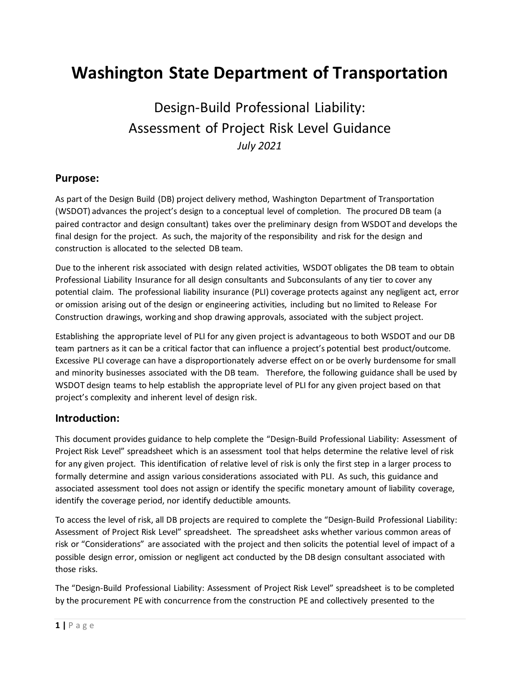# **Washington State Department of Transportation**

# Design-Build Professional Liability: Assessment of Project Risk Level Guidance *July 2021*

### **Purpose:**

As part of the Design Build (DB) project delivery method, Washington Department of Transportation (WSDOT) advances the project's design to a conceptual level of completion. The procured DB team (a paired contractor and design consultant) takes over the preliminary design from WSDOT and develops the final design for the project. As such, the majority of the responsibility and risk for the design and construction is allocated to the selected DB team.

Due to the inherent risk associated with design related activities, WSDOT obligates the DB team to obtain Professional Liability Insurance for all design consultants and Subconsulants of any tier to cover any potential claim. The professional liability insurance (PLI) coverage protects against any negligent act, error or omission arising out of the design or engineering activities, including but no limited to Release For Construction drawings, working and shop drawing approvals, associated with the subject project.

Establishing the appropriate level of PLI for any given project is advantageous to both WSDOT and our DB team partners as it can be a critical factor that can influence a project's potential best product/outcome. Excessive PLI coverage can have a disproportionately adverse effect on or be overly burdensome for small and minority businesses associated with the DB team. Therefore, the following guidance shall be used by WSDOT design teams to help establish the appropriate level of PLI for any given project based on that project's complexity and inherent level of design risk.

### **Introduction:**

This document provides guidance to help complete the "Design-Build Professional Liability: Assessment of Project Risk Level" spreadsheet which is an assessment tool that helps determine the relative level of risk for any given project. This identification of relative level of risk is only the first step in a larger process to formally determine and assign various considerations associated with PLI. As such, this guidance and associated assessment tool does not assign or identify the specific monetary amount of liability coverage, identify the coverage period, nor identify deductible amounts.

To access the level of risk, all DB projects are required to complete the "Design-Build Professional Liability: Assessment of Project Risk Level" spreadsheet. The spreadsheet asks whether various common areas of risk or "Considerations" are associated with the project and then solicits the potential level of impact of a possible design error, omission or negligent act conducted by the DB design consultant associated with those risks.

The "Design-Build Professional Liability: Assessment of Project Risk Level" spreadsheet is to be completed by the procurement PE with concurrence from the construction PE and collectively presented to the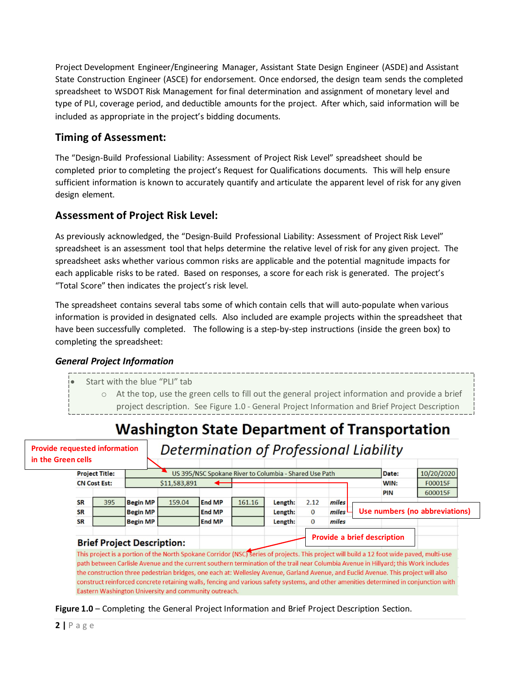Project Development Engineer/Engineering Manager, Assistant State Design Engineer (ASDE) and Assistant State Construction Engineer (ASCE) for endorsement. Once endorsed, the design team sends the completed spreadsheet to WSDOT Risk Management for final determination and assignment of monetary level and type of PLI, coverage period, and deductible amounts for the project. After which, said information will be included as appropriate in the project's bidding documents.

## **Timing of Assessment:**

The "Design-Build Professional Liability: Assessment of Project Risk Level" spreadsheet should be completed prior to completing the project's Request for Qualifications documents. This will help ensure sufficient information is known to accurately quantify and articulate the apparent level of risk for any given design element.

## **Assessment of Project Risk Level:**

As previously acknowledged, the "Design-Build Professional Liability: Assessment of Project Risk Level" spreadsheet is an assessment tool that helps determine the relative level of risk for any given project. The spreadsheet asks whether various common risks are applicable and the potential magnitude impacts for each applicable risks to be rated. Based on responses, a score for each risk is generated. The project's "Total Score" then indicates the project's risk level.

The spreadsheet contains several tabs some of which contain cells that will auto-populate when various information is provided in designated cells. Also included are example projects within the spreadsheet that have been successfully completed. The following is a step-by-step instructions (inside the green box) to completing the spreadsheet:

### *General Project Information*

- Start with the blue "PLI" tab
	- o At the top, use the green cells to fill out the general project information and provide a brief project description. See Figure 1.0 - General Project Information and Brief Project Description

# **Washington State Department of Transportation**

**Provide requested information in the Green cells** 

# **Determination of Professional Liability**

| n cens                |                     |                                     |                                                        |               |        |         |              |       |                                    |                                |
|-----------------------|---------------------|-------------------------------------|--------------------------------------------------------|---------------|--------|---------|--------------|-------|------------------------------------|--------------------------------|
| <b>Project Title:</b> |                     |                                     | US 395/NSC Spokane River to Columbia - Shared Use Path |               |        |         |              |       | Date:                              | 10/20/2020                     |
|                       | <b>CN Cost Est:</b> |                                     | \$11,583,891                                           |               |        |         |              |       | WIN:                               | F00015F                        |
|                       |                     |                                     |                                                        |               |        |         |              |       | PIN                                | 600015F                        |
| <b>SR</b>             | 395                 | <b>Begin MP</b>                     | 159.04                                                 | <b>End MP</b> | 161.16 | Length: | 2.12         | miles |                                    |                                |
| <b>SR</b>             |                     | <b>Begin MP</b>                     |                                                        | <b>End MP</b> |        | Length: | $\mathbf{0}$ | miles |                                    | Use numbers (no abbreviations) |
| <b>SR</b>             |                     | <b>Begin MP</b>                     |                                                        | <b>End MP</b> |        | Length: | $\Omega$     | miles |                                    |                                |
|                       |                     | <b>Duisd Duais at December 1997</b> |                                                        |               |        |         |              |       | <b>Provide a brief description</b> |                                |

### **Brief Project Description:**

This project is a portion of the North Spokane Corridor (NSC) series of projects. This project will build a 12 foot wide paved, multi-use path between Carlisle Avenue and the current southern termination of the trail near Columbia Avenue in Hillyard; this Work includes the construction three pedestrian bridges, one each at: Wellesley Avenue, Garland Avenue, and Euclid Avenue. This project will also construct reinforced concrete retaining walls, fencing and various safety systems, and other amenities determined in conjunction with Eastern Washington University and community outreach.

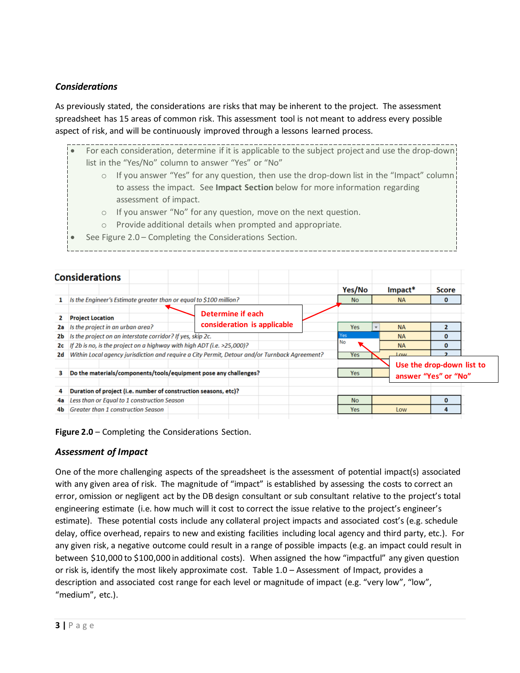### *Considerations*

As previously stated, the considerations are risks that may be inherent to the project. The assessment spreadsheet has 15 areas of common risk. This assessment tool is not meant to address every possible aspect of risk, and will be continuously improved through a lessons learned process.

|                                                                                                     | For each consideration, determine if it is applicable to the subject project and use the drop-down |  |  |  |  |  |
|-----------------------------------------------------------------------------------------------------|----------------------------------------------------------------------------------------------------|--|--|--|--|--|
| list in the "Yes/No" column to answer "Yes" or "No"                                                 |                                                                                                    |  |  |  |  |  |
| If you answer "Yes" for any question, then use the drop-down list in the "Impact" column<br>$\circ$ |                                                                                                    |  |  |  |  |  |
|                                                                                                     | to assess the impact. See Impact Section below for more information regarding                      |  |  |  |  |  |
|                                                                                                     | assessment of impact.                                                                              |  |  |  |  |  |
| $\circ$                                                                                             | If you answer "No" for any question, move on the next question.                                    |  |  |  |  |  |
| $\circ$                                                                                             | Provide additional details when prompted and appropriate.                                          |  |  |  |  |  |
|                                                                                                     | See Figure 2.0 - Completing the Considerations Section.                                            |  |  |  |  |  |
|                                                                                                     |                                                                                                    |  |  |  |  |  |

|    | <b>Considerations</b>                                                  |                                                                                               |            |           |                           |  |
|----|------------------------------------------------------------------------|-----------------------------------------------------------------------------------------------|------------|-----------|---------------------------|--|
|    |                                                                        |                                                                                               | Yes/No     | Impact*   | Score                     |  |
|    | Is the Engineer's Estimate greater than or equal to \$100 million?     |                                                                                               | <b>No</b>  | <b>NA</b> | 0                         |  |
|    | <b>Project Location</b>                                                | Determine if each                                                                             |            |           |                           |  |
| 2a | Is the project in an urban area?                                       | consideration is applicable                                                                   | <b>Yes</b> | <b>NA</b> |                           |  |
| 2b | Is the project on an interstate corridor? If yes, skip 2c.             |                                                                                               | Yes        | <b>NA</b> |                           |  |
| 2с | If 2b is no, is the project on a highway with high ADT (i.e. >25,000)? |                                                                                               | <b>No</b>  | <b>NA</b> | 0                         |  |
| 2d |                                                                        | Within Local agency jurisdiction and require a City Permit, Detour and/or Turnback Agreement? | <b>Yes</b> | $_{OM}$   |                           |  |
|    |                                                                        |                                                                                               |            |           | Use the drop-down list to |  |
| 3  | Do the materials/components/tools/equipment pose any challenges?       |                                                                                               | Yes        |           | answer "Yes" or "No"      |  |
| 4  | Duration of project (i.e. number of construction seasons, etc)?        |                                                                                               |            |           |                           |  |
| 4a | Less than or Equal to 1 construction Season                            |                                                                                               | <b>No</b>  |           | 0                         |  |
| 4b | <b>Greater than 1 construction Season</b>                              |                                                                                               | <b>Yes</b> | Low       |                           |  |

**Figure 2.0** – Completing the Considerations Section.

### *Assessment of Impact*

One of the more challenging aspects of the spreadsheet is the assessment of potential impact(s) associated with any given area of risk. The magnitude of "impact" is established by assessing the costs to correct an error, omission or negligent act by the DB design consultant or sub consultant relative to the project's total engineering estimate (i.e. how much will it cost to correct the issue relative to the project's engineer's estimate). These potential costs include any collateral project impacts and associated cost's (e.g. schedule delay, office overhead, repairs to new and existing facilities including local agency and third party, etc.). For any given risk, a negative outcome could result in a range of possible impacts (e.g. an impact could result in between \$10,000 to \$100,000 in additional costs). When assigned the how "impactful" any given question or risk is, identify the most likely approximate cost. Table 1.0 – Assessment of Impact, provides a description and associated cost range for each level or magnitude of impact (e.g. "very low", "low", "medium", etc.).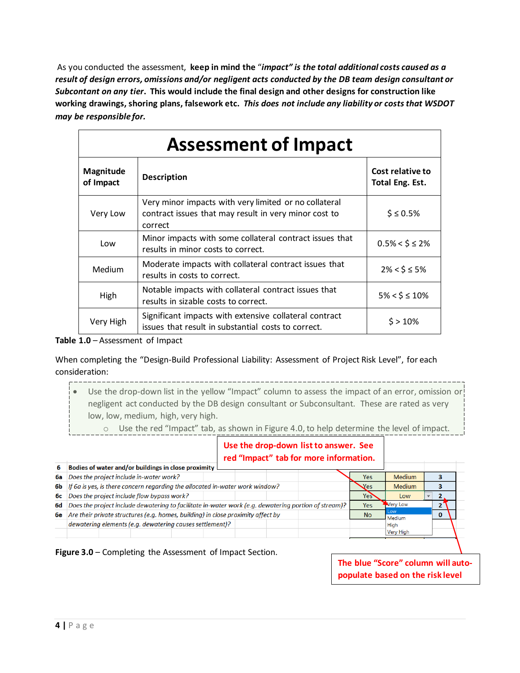As you conducted the assessment, **keep in mind the** "*impact" is the total additional costs caused as a result of design errors, omissions and/or negligent acts conducted by the DB team design consultant or Subcontant on any tier***. This would include the final design and other designs for construction like working drawings, shoring plans, falsework etc.** *This does not include any liability or coststhat WSDOT may be responsible for.*

| <b>Assessment of Impact</b> |                                                                                                                           |                                     |  |  |  |  |
|-----------------------------|---------------------------------------------------------------------------------------------------------------------------|-------------------------------------|--|--|--|--|
| Magnitude<br>of Impact      | <b>Description</b>                                                                                                        | Cost relative to<br>Total Eng. Est. |  |  |  |  |
| Very Low                    | Very minor impacts with very limited or no collateral<br>contract issues that may result in very minor cost to<br>correct | $$ \leq 0.5\%$                      |  |  |  |  |
| Low                         | Minor impacts with some collateral contract issues that<br>results in minor costs to correct.                             | $0.5\% < \xi \leq 2\%$              |  |  |  |  |
| Medium                      | Moderate impacts with collateral contract issues that<br>results in costs to correct.                                     | $2\% < \frac{1}{5} \leq 5\%$        |  |  |  |  |
| High                        | Notable impacts with collateral contract issues that<br>results in sizable costs to correct.                              | $5\% < \frac{1}{5} \leq 10\%$       |  |  |  |  |
| Very High                   | Significant impacts with extensive collateral contract<br>issues that result in substantial costs to correct.             | $$>10\%$                            |  |  |  |  |

**Table 1.0** – Assessment of Impact

When completing the "Design-Build Professional Liability: Assessment of Project Risk Level", for each consideration:

Use the drop-down list in the yellow "Impact" column to assess the impact of an error, omission or negligent act conducted by the DB design consultant or Subconsultant. These are rated as very low, low, medium, high, very high.

o Use the red "Impact" tab, as shown in Figure 4.0, to help determine the level of impact.

#### **Use the drop-down list to answer. See red "Impact" tab for more information.**

| 6   | Bodies of water and/or buildings in close proximity                                                  |            |                  |  |
|-----|------------------------------------------------------------------------------------------------------|------------|------------------|--|
| 6a  | Does the project include in-water work?                                                              | Yes:       | <b>Medium</b>    |  |
| 6b. | If 6a is yes, is there concern regarding the allocated in-water work window?                         | Yes        | <b>Medium</b>    |  |
| 6с  | Does the project include flow bypass work?                                                           | Yes        | Low              |  |
| 6d  | Does the project include dewatering to facilitate in-water work (e.g. dewatering portion of stream)? | <b>Yes</b> | Very Low         |  |
| 6e  | Are their private structures (e.g. homes, building) in close proximity affect by                     | <b>No</b>  | LOW<br>Medium    |  |
|     | dewatering elements (e.g. dewatering causes settlement)?                                             |            | High             |  |
|     |                                                                                                      |            | <b>Very High</b> |  |

**Figure 3.0** – Completing the Assessment of Impact Section.

**The blue "Score" column will autopopulate based on the risk level**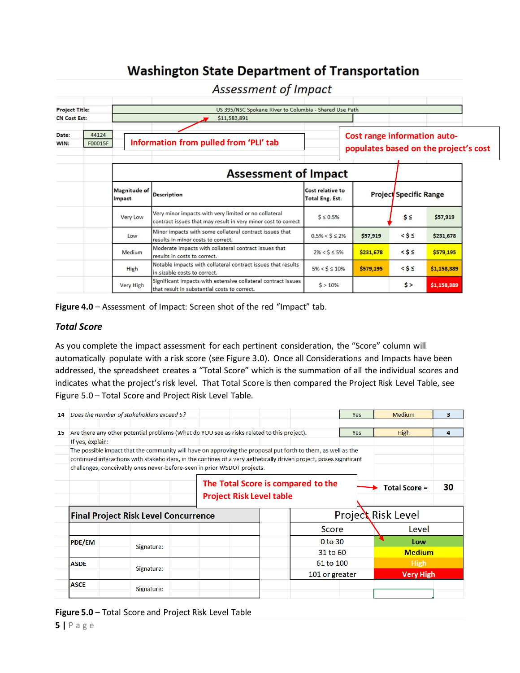# **Washington State Department of Transportation**

|                       |                  |                               | <b>ASSESSINGING</b> INDUCT                                                                                             |                                                                       |           |                               |             |  |
|-----------------------|------------------|-------------------------------|------------------------------------------------------------------------------------------------------------------------|-----------------------------------------------------------------------|-----------|-------------------------------|-------------|--|
| <b>Project Title:</b> |                  |                               | US 395/NSC Spokane River to Columbia - Shared Use Path                                                                 |                                                                       |           |                               |             |  |
| <b>CN Cost Est:</b>   |                  |                               | \$11,583,891                                                                                                           |                                                                       |           |                               |             |  |
| Date:<br>WIN:         | 44124<br>F00015F |                               | Information from pulled from 'PLI' tab                                                                                 | Cost range information auto-<br>populates based on the project's cost |           |                               |             |  |
|                       |                  |                               | <b>Assessment of Impact</b>                                                                                            |                                                                       |           |                               |             |  |
|                       |                  | <b>Magnitude of</b><br>Impact | <b>Description</b>                                                                                                     | Cost relative to<br><b>Total Eng. Est.</b>                            |           | <b>Project Specific Range</b> |             |  |
|                       |                  | <b>Very Low</b>               | Very minor impacts with very limited or no collateral<br>contract issues that may result in very minor cost to correct | $S \leq 0.5\%$                                                        |           | $s \leq$                      | \$57,919    |  |
|                       |                  | Low                           | Minor impacts with some collateral contract issues that<br>results in minor costs to correct.                          | $0.5\% < \frac{1}{5} \leq 2\%$                                        | \$57,919  | $<$ \$ $\leq$                 | \$231,678   |  |
|                       |                  | Medium                        | Moderate impacts with collateral contract issues that<br>results in costs to correct.                                  | $2\% < $ \leq 5\%$                                                    | \$231,678 | $<$ \$ $\leq$                 | \$579,195   |  |
|                       |                  | High                          | Notable impacts with collateral contract issues that results<br>in sizable costs to correct.                           | $5\% < $ \leq 10\%$                                                   | \$579,195 | $<$ \$ $\leq$                 | \$1,158,389 |  |
|                       |                  | <b>Very High</b>              | Significant impacts with extensive collateral contract issues<br>that result in substantial costs to correct.          | $$>10\%$                                                              |           | s >                           | \$1,158,389 |  |

Assessment of Impact

**Figure 4.0** – Assessment of Impact: Screen shot of the red "Impact" tab.

#### *Total Score*

As you complete the impact assessment for each pertinent consideration, the "Score" column will automatically populate with a risk score (see Figure 3.0). Once all Considerations and Impacts have been addressed, the spreadsheet creates a "Total Score" which is the summation of all the individual scores and indicates what the project's risk level. That Total Score is then compared the Project Risk Level Table, see Figure 5.0 – Total Score and Project Risk Level Table.

| 14 |                  | Does the number of stakeholders exceed 5?                                                                                                                                                                                                                                                                     |                                                                       | Yes:           | <b>Medium</b>             | з                |
|----|------------------|---------------------------------------------------------------------------------------------------------------------------------------------------------------------------------------------------------------------------------------------------------------------------------------------------------------|-----------------------------------------------------------------------|----------------|---------------------------|------------------|
| 15 |                  | Are there any other potential problems (What do YOU see as risks related to this project).                                                                                                                                                                                                                    |                                                                       | <b>Yes</b>     | <b>High</b>               | 4                |
|    | If yes, explain: |                                                                                                                                                                                                                                                                                                               |                                                                       |                |                           |                  |
|    |                  | The possible impact that the community will have on approving the proposal put forth to them, as well as the<br>continued interactions with stakeholders, in the confines of a very aethetically driven project, poses significant<br>challenges, conceivably ones never-before-seen in prior WSDOT projects. |                                                                       |                |                           |                  |
|    |                  |                                                                                                                                                                                                                                                                                                               | The Total Score is compared to the<br><b>Project Risk Level table</b> |                | <b>Total Score =</b>      | 30               |
|    |                  | <b>Final Project Risk Level Concurrence</b>                                                                                                                                                                                                                                                                   |                                                                       |                | <b>Project Risk Level</b> |                  |
|    |                  |                                                                                                                                                                                                                                                                                                               | Score                                                                 |                | Level                     |                  |
|    | <b>PDE/EM</b>    | Signature:                                                                                                                                                                                                                                                                                                    | 0 to 30                                                               |                | Low                       |                  |
|    |                  |                                                                                                                                                                                                                                                                                                               | 31 to 60                                                              |                | <b>Medium</b>             |                  |
|    | <b>ASDE</b>      |                                                                                                                                                                                                                                                                                                               | 61 to 100                                                             |                | <b>High</b>               |                  |
|    |                  | Signature:                                                                                                                                                                                                                                                                                                    |                                                                       | 101 or greater |                           | <b>Very High</b> |
|    | <b>ASCE</b>      | Signature:                                                                                                                                                                                                                                                                                                    |                                                                       |                |                           |                  |

**Figure 5.0** – Total Score and Project Risk Level Table